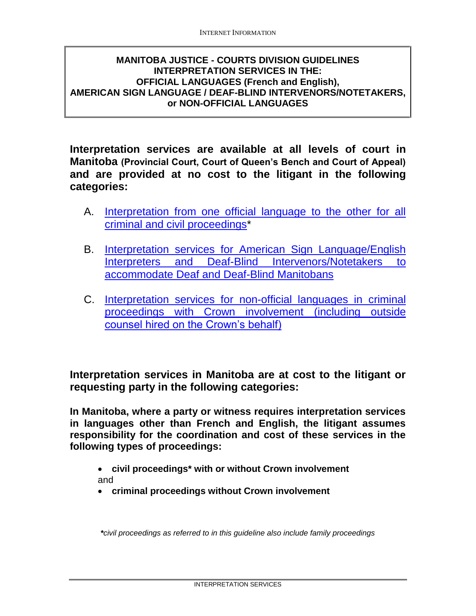## <span id="page-0-0"></span>**MANITOBA JUSTICE - COURTS DIVISION GUIDELINES INTERPRETATION SERVICES IN THE: OFFICIAL LANGUAGES (French and English), AMERICAN SIGN LANGUAGE / DEAF-BLIND INTERVENORS/NOTETAKERS, or NON-OFFICIAL LANGUAGES**

**Interpretation services are available at all levels of court in Manitoba (Provincial Court, Court of Queen's Bench and Court of Appeal) and are provided at no cost to the litigant in the following categories:**

- A. [Interpretation from one official language to the other for all](#page-1-0)  [criminal and civil proceedings\\*](#page-1-0)
- B. [Interpretation services for American Sign Language/English](#page-2-0)  [Interpreters and Deaf-Blind Intervenors/Notetakers](#page-2-0) to [accommodate Deaf and Deaf-Blind Manitobans](#page-2-0)
- C. [Interpretation services for non-official languages in criminal](#page-3-0)  [proceedings with Crown involvement](#page-3-0) (including outside [counsel hired on the Crown's behalf\)](#page-3-0)

**Interpretation services in Manitoba are at cost to the litigant or requesting party in the following categories:**

**In Manitoba, where a party or witness requires interpretation services in languages other than French and English, the litigant assumes responsibility for the coordination and cost of these services in the following types of proceedings:**

- **civil proceedings\* with or without Crown involvement** and
- **criminal proceedings without Crown involvement**

*\*civil proceedings as referred to in this guideline also include family proceedings*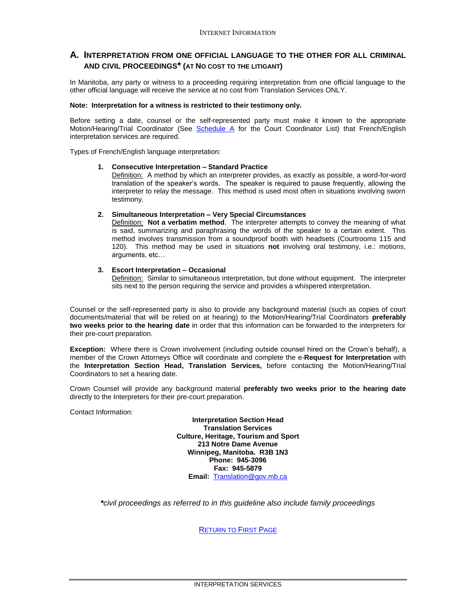#### <span id="page-1-0"></span>**A. INTERPRETATION FROM ONE OFFICIAL LANGUAGE TO THE OTHER FOR ALL CRIMINAL AND CIVIL PROCEEDINGS\* (AT NO COST TO THE LITIGANT)**

In Manitoba, any party or witness to a proceeding requiring interpretation from one official language to the other official language will receive the service at no cost from Translation Services ONLY.

#### **Note: Interpretation for a witness is restricted to their testimony only.**

Before setting a date, counsel or the self-represented party must make it known to the appropriate Motion/Hearing/Trial Coordinator (See [Schedule A](#page-4-0) for the Court Coordinator List) that French/English interpretation services are required.

Types of French/English language interpretation:

#### **1. Consecutive Interpretation – Standard Practice**

Definition: A method by which an interpreter provides, as exactly as possible, a word-for-word translation of the speaker's words. The speaker is required to pause frequently, allowing the interpreter to relay the message. This method is used most often in situations involving sworn testimony.

#### **2. Simultaneous Interpretation – Very Special Circumstances**

Definition: **Not a verbatim method**. The interpreter attempts to convey the meaning of what is said, summarizing and paraphrasing the words of the speaker to a certain extent. This method involves transmission from a soundproof booth with headsets (Courtrooms 115 and 120). This method may be used in situations **not** involving oral testimony, i.e.: motions, arguments, etc…

#### **3. Escort Interpretation – Occasional**

Definition: Similar to simultaneous interpretation, but done without equipment. The interpreter sits next to the person requiring the service and provides a whispered interpretation.

Counsel or the self-represented party is also to provide any background material (such as copies of court documents/material that will be relied on at hearing) to the Motion/Hearing/Trial Coordinators **preferably two weeks prior to the hearing date** in order that this information can be forwarded to the interpreters for their pre-court preparation.

**Exception:** Where there is Crown involvement (including outside counsel hired on the Crown's behalf), a member of the Crown Attorneys Office will coordinate and complete the e-**Request for Interpretation** with the **Interpretation Section Head, Translation Services,** before contacting the Motion/Hearing/Trial Coordinators to set a hearing date.

Crown Counsel will provide any background material **preferably two weeks prior to the hearing date** directly to the Interpreters for their pre-court preparation.

Contact Information:

**Interpretation Section Head Translation Services Culture, Heritage, Tourism and Sport 213 Notre Dame Avenue Winnipeg, Manitoba. R3B 1N3 Phone: 945-3096 Fax: 945-5879 Email:** [Translation@gov.mb.ca](mailto:Translation@gov.mb.ca)

*\*civil proceedings as referred to in this guideline also include family proceedings*

R[ETURN TO](#page-0-0) FIRST PAGE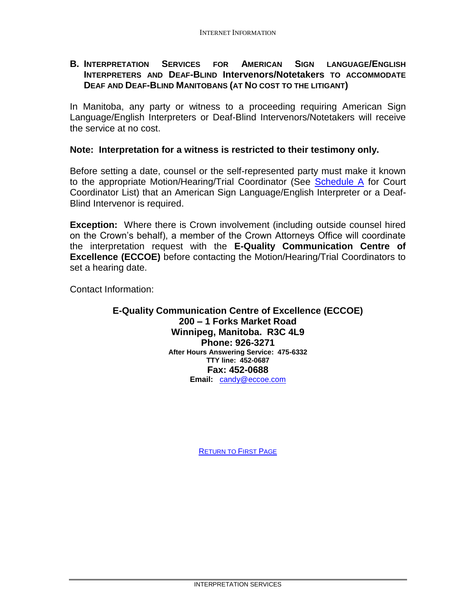## <span id="page-2-0"></span>**B. INTERPRETATION SERVICES FOR AMERICAN SIGN LANGUAGE/ENGLISH INTERPRETERS AND DEAF-BLIND Intervenors/Notetakers TO ACCOMMODATE DEAF AND DEAF-BLIND MANITOBANS (AT NO COST TO THE LITIGANT)**

In Manitoba, any party or witness to a proceeding requiring American Sign Language/English Interpreters or Deaf-Blind Intervenors/Notetakers will receive the service at no cost.

### **Note: Interpretation for a witness is restricted to their testimony only.**

Before setting a date, counsel or the self-represented party must make it known to the appropriate Motion/Hearing/Trial Coordinator (See [Schedule A](#page-4-0) for Court Coordinator List) that an American Sign Language/English Interpreter or a Deaf-Blind Intervenor is required.

**Exception:** Where there is Crown involvement (including outside counsel hired on the Crown's behalf), a member of the Crown Attorneys Office will coordinate the interpretation request with the **E-Quality Communication Centre of Excellence (ECCOE)** before contacting the Motion/Hearing/Trial Coordinators to set a hearing date.

Contact Information:

#### **E-Quality Communication Centre of Excellence (ECCOE) 200 – 1 Forks Market Road Winnipeg, Manitoba. R3C 4L9 Phone: 926-3271 After Hours Answering Service: 475-6332 TTY line: 452-0687 Fax: 452-0688 Email:** [candy@eccoe.com](mailto:candy@eccoe.com)

R[ETURN TO](#page-0-0) FIRST PAGE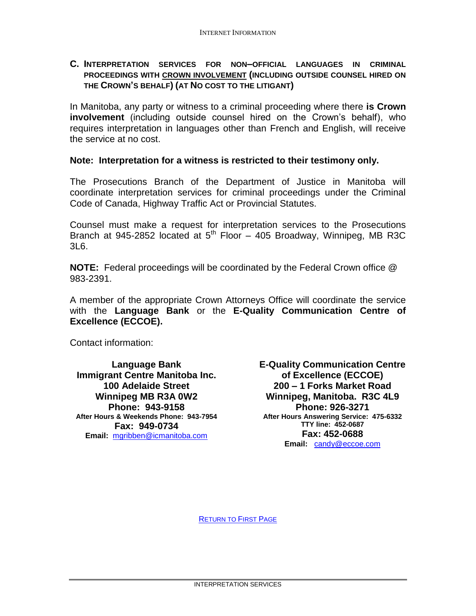### <span id="page-3-0"></span>**C. INTERPRETATION SERVICES FOR NON–OFFICIAL LANGUAGES IN CRIMINAL PROCEEDINGS WITH CROWN INVOLVEMENT (INCLUDING OUTSIDE COUNSEL HIRED ON THE CROWN'S BEHALF) (AT NO COST TO THE LITIGANT)**

In Manitoba, any party or witness to a criminal proceeding where there **is Crown involvement** (including outside counsel hired on the Crown's behalf), who requires interpretation in languages other than French and English, will receive the service at no cost.

### **Note: Interpretation for a witness is restricted to their testimony only.**

The Prosecutions Branch of the Department of Justice in Manitoba will coordinate interpretation services for criminal proceedings under the Criminal Code of Canada, Highway Traffic Act or Provincial Statutes.

Counsel must make a request for interpretation services to the Prosecutions Branch at 945-2852 located at  $5<sup>th</sup>$  Floor – 405 Broadway, Winnipeg, MB R3C 3L6.

**NOTE:** Federal proceedings will be coordinated by the Federal Crown office @ 983-2391.

A member of the appropriate Crown Attorneys Office will coordinate the service with the **Language Bank** or the **E-Quality Communication Centre of Excellence (ECCOE).**

Contact information:

**Language Bank Immigrant Centre Manitoba Inc. 100 Adelaide Street Winnipeg MB R3A 0W2 Phone: 943-9158 After Hours & Weekends Phone: 943-7954 Fax: 949-0734 Email:** [mgribben@icmanitoba.com](mailto:mgribben@icmanitoba.com)

**E-Quality Communication Centre of Excellence (ECCOE) 200 – 1 Forks Market Road Winnipeg, Manitoba. R3C 4L9 Phone: 926-3271 After Hours Answering Service: 475-6332 TTY line: 452-0687 Fax: 452-0688 Email:** [candy@eccoe.com](mailto:candy@eccoe.com)

R[ETURN TO](#page-0-0) FIRST PAGE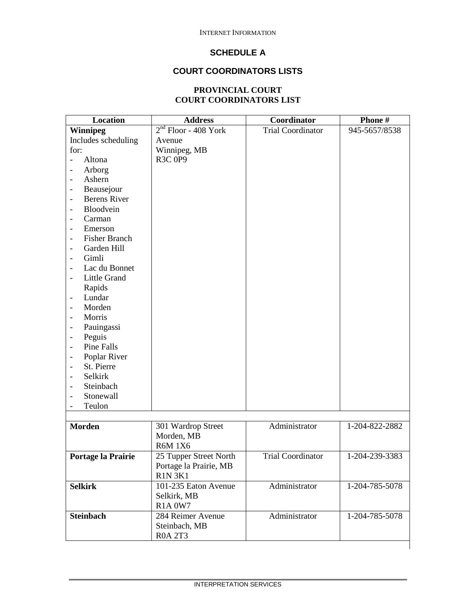# **SCHEDULE A**

# **COURT COORDINATORS LISTS**

### **PROVINCIAL COURT COURT COORDINATORS LIST**

<span id="page-4-0"></span>

| Location                                         | <b>Address</b>         | Coordinator              | Phone#         |
|--------------------------------------------------|------------------------|--------------------------|----------------|
| <b>Winnipeg</b>                                  | $2nd$ Floor - 408 York | <b>Trial Coordinator</b> | 945-5657/8538  |
| Includes scheduling                              | Avenue                 |                          |                |
| for:                                             | Winnipeg, MB           |                          |                |
| Altona<br>$\overline{a}$                         | R3C 0P9                |                          |                |
| Arborg<br>$\overline{\phantom{a}}$               |                        |                          |                |
| Ashern<br>$\overline{\phantom{a}}$               |                        |                          |                |
| Beausejour<br>$\overline{\phantom{0}}$           |                        |                          |                |
| <b>Berens River</b><br>$\overline{\phantom{a}}$  |                        |                          |                |
| Bloodvein<br>$\overline{\phantom{a}}$            |                        |                          |                |
| Carman<br>$\overline{\phantom{a}}$               |                        |                          |                |
| Emerson<br>$\overline{\phantom{a}}$              |                        |                          |                |
| <b>Fisher Branch</b><br>$\overline{\phantom{a}}$ |                        |                          |                |
| Garden Hill                                      |                        |                          |                |
| Gimli                                            |                        |                          |                |
| Lac du Bonnet                                    |                        |                          |                |
| Little Grand                                     |                        |                          |                |
| Rapids                                           |                        |                          |                |
| Lundar<br>$\overline{\phantom{m}}$               |                        |                          |                |
| Morden<br>$\overline{\phantom{a}}$               |                        |                          |                |
| Morris<br>$\overline{\phantom{a}}$               |                        |                          |                |
|                                                  |                        |                          |                |
| Pauingassi<br>$\overline{\phantom{a}}$           |                        |                          |                |
| Peguis<br>$\overline{\phantom{a}}$               |                        |                          |                |
| Pine Falls                                       |                        |                          |                |
| Poplar River<br>$\overline{\phantom{a}}$         |                        |                          |                |
| St. Pierre<br>$\overline{\phantom{a}}$           |                        |                          |                |
| Selkirk<br>$\overline{\phantom{a}}$              |                        |                          |                |
| Steinbach<br>$\overline{\phantom{a}}$            |                        |                          |                |
| Stonewall<br>$\overline{\phantom{a}}$            |                        |                          |                |
| Teulon<br>$\overline{\phantom{a}}$               |                        |                          |                |
|                                                  |                        |                          |                |
| <b>Morden</b>                                    | 301 Wardrop Street     | Administrator            | 1-204-822-2882 |
|                                                  | Morden, MB             |                          |                |
|                                                  | <b>R6M 1X6</b>         |                          |                |
| Portage la Prairie                               | 25 Tupper Street North | <b>Trial Coordinator</b> | 1-204-239-3383 |
|                                                  | Portage la Prairie, MB |                          |                |
|                                                  | <b>R1N 3K1</b>         |                          |                |
| <b>Selkirk</b>                                   | 101-235 Eaton Avenue   | Administrator            | 1-204-785-5078 |
|                                                  | Selkirk, MB            |                          |                |
|                                                  | <b>R1A 0W7</b>         |                          |                |
| <b>Steinbach</b>                                 | 284 Reimer Avenue      | Administrator            | 1-204-785-5078 |
|                                                  | Steinbach, MB          |                          |                |
|                                                  | <b>R0A 2T3</b>         |                          |                |
|                                                  |                        |                          |                |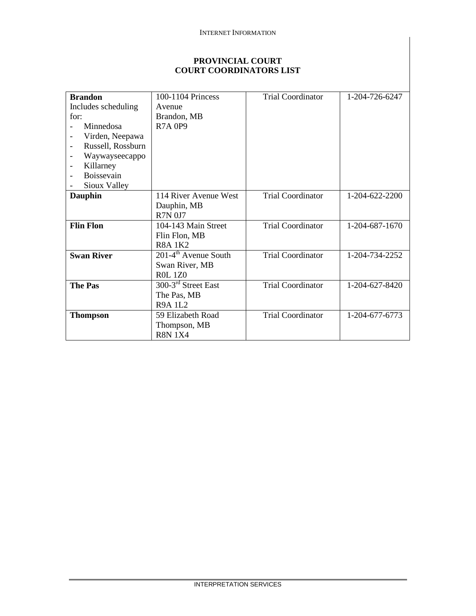#### INTERNET INFORMATION

### **PROVINCIAL COURT COURT COORDINATORS LIST**

| <b>Brandon</b>                             | 100-1104 Princess                  | <b>Trial Coordinator</b> | 1-204-726-6247 |
|--------------------------------------------|------------------------------------|--------------------------|----------------|
| Includes scheduling                        | Avenue                             |                          |                |
| for:                                       | Brandon, MB                        |                          |                |
| Minnedosa                                  | <b>R7A 0P9</b>                     |                          |                |
| Virden, Neepawa                            |                                    |                          |                |
| Russell, Rossburn<br>$\qquad \qquad -$     |                                    |                          |                |
| Waywayseecappo<br>$\overline{\phantom{a}}$ |                                    |                          |                |
| Killarney<br>$\overline{\phantom{a}}$      |                                    |                          |                |
| Boissevain                                 |                                    |                          |                |
| Sioux Valley                               |                                    |                          |                |
| <b>Dauphin</b>                             | 114 River Avenue West              | <b>Trial Coordinator</b> | 1-204-622-2200 |
|                                            | Dauphin, MB                        |                          |                |
|                                            | <b>R7N 0J7</b>                     |                          |                |
| <b>Flin Flon</b>                           | 104-143 Main Street                | <b>Trial Coordinator</b> | 1-204-687-1670 |
|                                            | Flin Flon, MB                      |                          |                |
|                                            | <b>R8A1K2</b>                      |                          |                |
| <b>Swan River</b>                          | $201-4$ <sup>th</sup> Avenue South | <b>Trial Coordinator</b> | 1-204-734-2252 |
|                                            | Swan River, MB                     |                          |                |
|                                            | <b>ROL 1Z0</b>                     |                          |                |
| <b>The Pas</b>                             | 300-3 <sup>rd</sup> Street East    | <b>Trial Coordinator</b> | 1-204-627-8420 |
|                                            | The Pas, MB                        |                          |                |
|                                            | R9A 1L2                            |                          |                |
| <b>Thompson</b>                            | 59 Elizabeth Road                  | <b>Trial Coordinator</b> | 1-204-677-6773 |
|                                            | Thompson, MB                       |                          |                |
|                                            | <b>R8N 1X4</b>                     |                          |                |